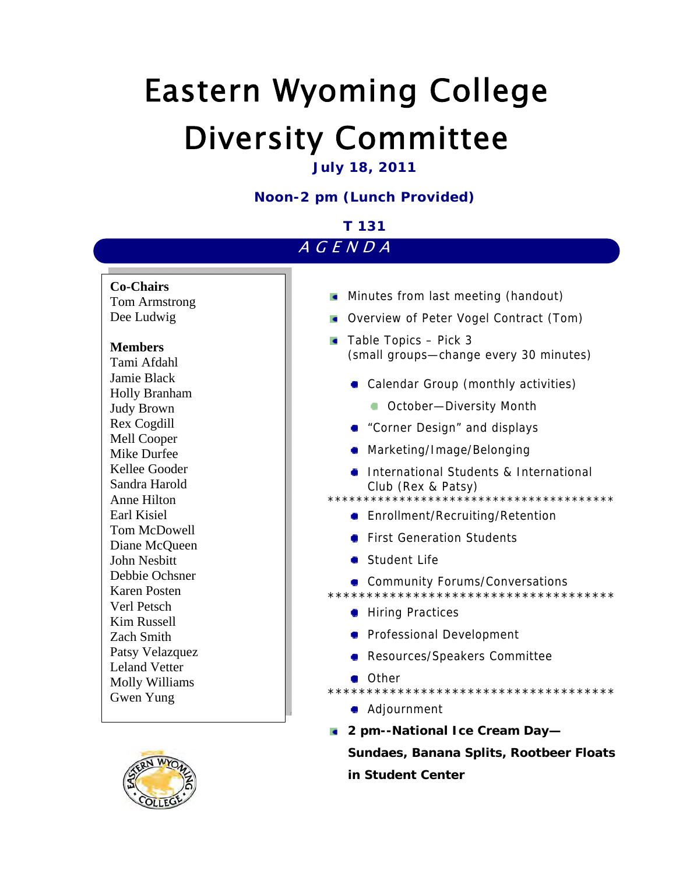# Eastern Wyoming College Diversity Committee

# **July 18, 2011**

# **Noon-2 pm (Lunch Provided)**

#### AGENDA **Minutes from last meeting (handout) Overview of Peter Vogel Contract (Tom)**  $\blacksquare$  Table Topics – Pick 3 (small groups—change every 30 minutes) **Calendar Group (monthly activities) COCTODER-Diversity Month** • "Corner Design" and displays Marketing/Image/Belonging **International Students & International** Club (Rex & Patsy) \*\*\*\*\*\*\*\*\*\*\*\*\*\*\*\*\*\*\*\*\*\*\*\*\*\*\*\*\*\*\*\*\*\*\*\*\*\*\*\* **•** Enrollment/Recruiting/Retention **• First Generation Students** Student Life **Community Forums/Conversations** \*\*\*\*\*\*\*\*\*\*\*\*\*\*\*\*\*\*\*\*\*\*\*\*\*\*\*\*\*\*\*\*\*\*\*\*\* **Hiring Practices •** Professional Development **Resources/Speakers Committee** ● Other \*\*\*\*\*\*\*\*\*\*\*\*\*\*\*\*\*\*\*\*\*\*\*\*\*\*\*\*\*\*\*\*\*\*\*\*\* ● Adjournment **2 pm--National Ice Cream Day— Sundaes, Banana Splits, Rootbeer Floats T 131 Co-Chairs**  Tom Armstrong Dee Ludwig **Members**  Tami Afdahl Jamie Black Holly Branham Judy Brown Rex Cogdill Mell Cooper Mike Durfee Kellee Gooder Sandra Harold Anne Hilton Earl Kisiel Tom McDowell Diane McQueen John Nesbitt Debbie Ochsner Karen Posten Verl Petsch Kim Russell Zach Smith Patsy Velazquez Leland Vetter Molly Williams Gwen Yung

**in Student Center** 

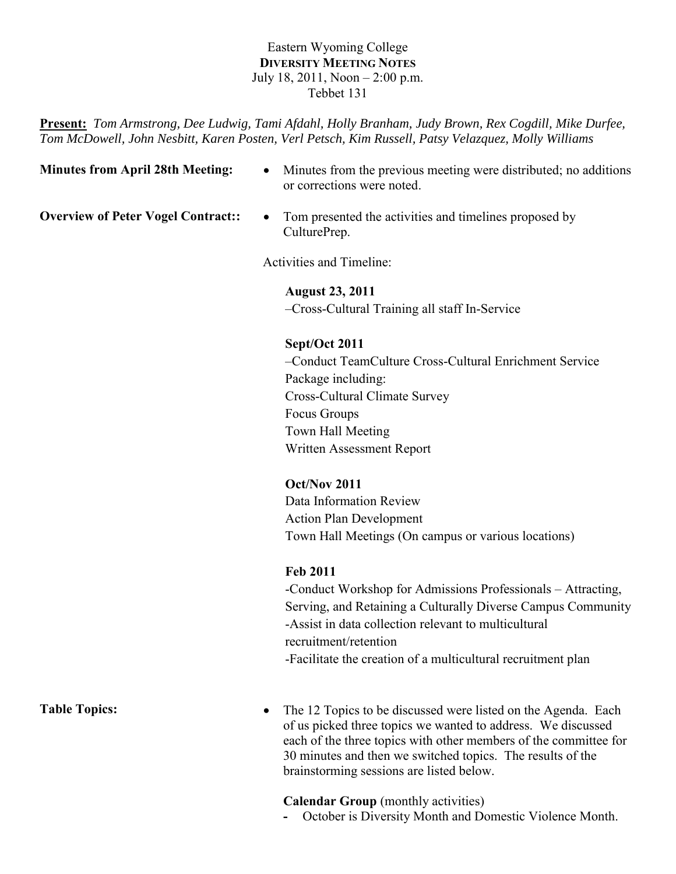# Eastern Wyoming College **DIVERSITY MEETING NOTES** July 18, 2011, Noon – 2:00 p.m. Tebbet 131

**Present:** *Tom Armstrong, Dee Ludwig, Tami Afdahl, Holly Branham, Judy Brown, Rex Cogdill, Mike Durfee, Tom McDowell, John Nesbitt, Karen Posten, Verl Petsch, Kim Russell, Patsy Velazquez, Molly Williams*

| <b>Minutes from April 28th Meeting:</b>   | Minutes from the previous meeting were distributed; no additions<br>$\bullet$<br>or corrections were noted. |
|-------------------------------------------|-------------------------------------------------------------------------------------------------------------|
| <b>Overview of Peter Vogel Contract::</b> | Tom presented the activities and timelines proposed by<br>$\bullet$<br>CulturePrep.                         |
|                                           | Activities and Timeline:                                                                                    |
|                                           | <b>August 23, 2011</b>                                                                                      |
|                                           | -Cross-Cultural Training all staff In-Service                                                               |
|                                           | Sept/Oct 2011                                                                                               |
|                                           | -Conduct TeamCulture Cross-Cultural Enrichment Service                                                      |
|                                           | Package including:                                                                                          |
|                                           | Cross-Cultural Climate Survey                                                                               |
|                                           | Focus Groups                                                                                                |
|                                           | Town Hall Meeting                                                                                           |
|                                           | Written Assessment Report                                                                                   |
|                                           | Oct/Nov 2011                                                                                                |
|                                           | Data Information Review                                                                                     |
|                                           | <b>Action Plan Development</b>                                                                              |
|                                           | Town Hall Meetings (On campus or various locations)                                                         |
|                                           | <b>Feb 2011</b>                                                                                             |
|                                           | -Conduct Workshop for Admissions Professionals - Attracting,                                                |
|                                           | Serving, and Retaining a Culturally Diverse Campus Community                                                |
|                                           | -Assist in data collection relevant to multicultural                                                        |
|                                           | recruitment/retention                                                                                       |

-Facilitate the creation of a multicultural recruitment plan

Table Topics: • The 12 Topics to be discussed were listed on the Agenda. Each of us picked three topics we wanted to address. We discussed each of the three topics with other members of the committee for 30 minutes and then we switched topics. The results of the brainstorming sessions are listed below.

**Calendar Group** (monthly activities)

**-** October is Diversity Month and Domestic Violence Month.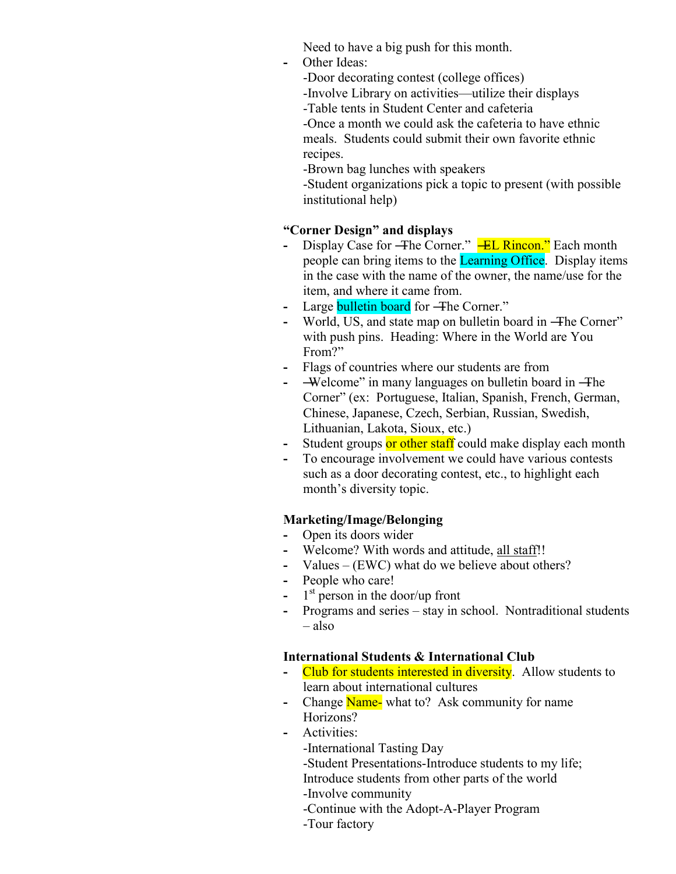Need to have a big push for this month.

**-** Other Ideas:

-Door decorating contest (college offices)

-Involve Library on activities—utilize their displays

-Table tents in Student Center and cafeteria

-Once a month we could ask the cafeteria to have ethnic meals. Students could submit their own favorite ethnic recipes.

-Brown bag lunches with speakers

-Student organizations pick a topic to present (with possible institutional help)

# **"Corner Design" and displays**

- Display Case for -The Corner." **-EL Rincon.**" Each month people can bring items to the Learning Office. Display items in the case with the name of the owner, the name/use for the item, and where it came from.
- 
- **-** Large **bulletin board** for –**The Corner.**"<br>• World, US, and state map on bulletin **b** World, US, and state map on bulletin board in –**The Corner**" with push pins. Heading: Where in the World are You From?"
- **-** Flags of countries where our students are from
- **-** ―Welcome‖ in many languages on bulletin board in ―The Corner" (ex: Portuguese, Italian, Spanish, French, German, Chinese, Japanese, Czech, Serbian, Russian, Swedish, Lithuanian, Lakota, Sioux, etc.)
- **-** Student groups or other staff could make display each month
- **-** To encourage involvement we could have various contests such as a door decorating contest, etc., to highlight each month's diversity topic.

# **Marketing/Image/Belonging**

- **-** Open its doors wider
- **-** Welcome? With words and attitude, all staff!!
- **-** Values (EWC) what do we believe about others?
- **-** People who care!
- **-** 1 st person in the door/up front
- **-** Programs and series stay in school. Nontraditional students – also

# **International Students & International Club**

- **-** Club for students interested in diversity. Allow students to learn about international cultures
- **-** Change Name- what to? Ask community for name Horizons?
- **-** Activities:

-International Tasting Day

-Student Presentations-Introduce students to my life;

Introduce students from other parts of the world

-Involve community

- -Continue with the Adopt-A-Player Program
- -Tour factory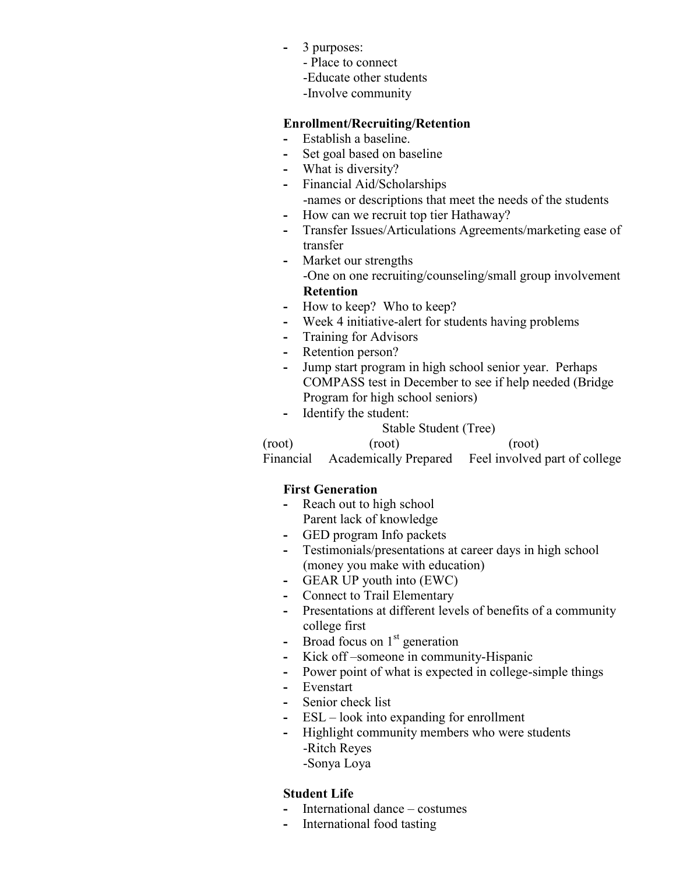- **-** 3 purposes:
	- Place to connect
	- -Educate other students
	- -Involve community

# **Enrollment/Recruiting/Retention**

- **-** Establish a baseline.
- **-** Set goal based on baseline
- **-** What is diversity?
- **-** Financial Aid/Scholarships -names or descriptions that meet the needs of the students
- **-** How can we recruit top tier Hathaway?
- **-** Transfer Issues/Articulations Agreements/marketing ease of transfer
- **-** Market our strengths -One on one recruiting/counseling/small group involvement **Retention**
- **-** How to keep? Who to keep?
- **-** Week 4 initiative-alert for students having problems
- **-** Training for Advisors
- **-** Retention person?
- **-** Jump start program in high school senior year. Perhaps COMPASS test in December to see if help needed (Bridge Program for high school seniors)
- **-** Identify the student:

Stable Student (Tree)

(root) (root) (root) Financial Academically Prepared Feel involved part of college

# **First Generation**

- **-** Reach out to high school Parent lack of knowledge
- **-** GED program Info packets
- **-** Testimonials/presentations at career days in high school (money you make with education)
- **-** GEAR UP youth into (EWC)
- **-** Connect to Trail Elementary
- **-** Presentations at different levels of benefits of a community college first
- **-** Broad focus on 1<sup>st</sup> generation
- **-** Kick off –someone in community-Hispanic
- **-** Power point of what is expected in college-simple things
- **-** Evenstart
- **-** Senior check list
- **-** ESL look into expanding for enrollment
- **-** Highlight community members who were students -Ritch Reyes
	- -Sonya Loya

# **Student Life**

- **-** International dance costumes
- **-** International food tasting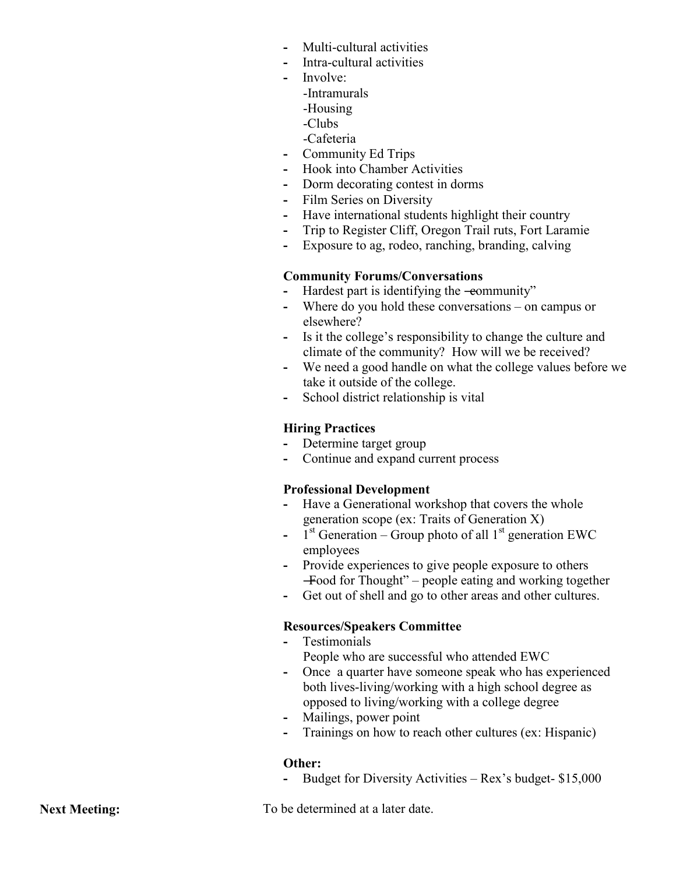- **-** Multi-cultural activities
- **-** Intra-cultural activities
- **-** Involve:
	- -Intramurals
	- -Housing
	- -Clubs
	- -Cafeteria
- **-** Community Ed Trips
- **-** Hook into Chamber Activities
- **-** Dorm decorating contest in dorms
- **-** Film Series on Diversity
- **-** Have international students highlight their country
- **-** Trip to Register Cliff, Oregon Trail ruts, Fort Laramie
- **-** Exposure to ag, rodeo, ranching, branding, calving

# **Community Forums/Conversations**

- Hardest part is identifying the -eommunity"
- **-** Where do you hold these conversations on campus or elsewhere?
- **-** Is it the college's responsibility to change the culture and climate of the community? How will we be received?
- **-** We need a good handle on what the college values before we take it outside of the college.
- **-** School district relationship is vital

# **Hiring Practices**

- **-** Determine target group
- **-** Continue and expand current process

# **Professional Development**

- **-** Have a Generational workshop that covers the whole generation scope (ex: Traits of Generation X)
- $\frac{1}{s}$ <sup>st</sup> Generation Group photo of all  $1^{st}$  generation EWC employees
- **-** Provide experiences to give people exposure to others  $-$ Food for Thought" – people eating and working together
- **-** Get out of shell and go to other areas and other cultures.

# **Resources/Speakers Committee**

- **-** Testimonials
	- People who are successful who attended EWC
- **-** Once a quarter have someone speak who has experienced both lives-living/working with a high school degree as opposed to living/working with a college degree
- **-** Mailings, power point
- **-** Trainings on how to reach other cultures (ex: Hispanic)

# **Other:**

**-** Budget for Diversity Activities – Rex's budget- \$15,000

**Next Meeting:** To be determined at a later date.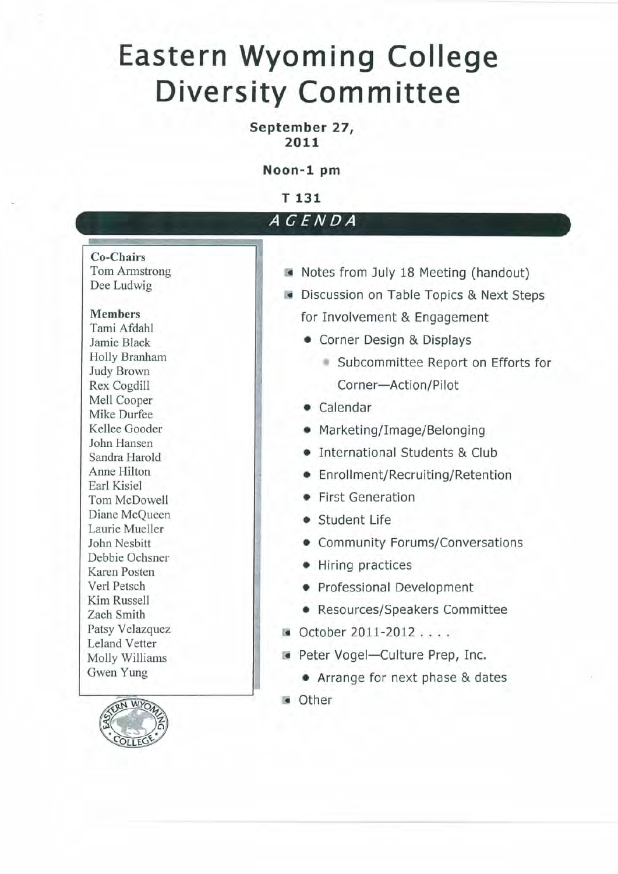# **Eastern Wyoming College Diversity Committee**

# September 27, 2011

Noon-1 pm

T 131

# AGENDA

# **Co-Chairs**

Tom Armstrong Dee Ludwig

#### **Members**

Tami Afdahl Jamie Black Holly Branham **Judy Brown** Rex Cogdill Mell Cooper Mike Durfee Kellee Gooder John Hansen Sandra Harold Anne Hilton Earl Kisiel Tom McDowell Diane McQueen Laurie Mueller John Nesbitt Debbie Ochsner Karen Posten Verl Petsch Kim Russell Zach Smith Patsy Velazquez **Leland Vetter** Molly Williams Gwen Yung



- Notes from July 18 Meeting (handout)
- Discussion on Table Topics & Next Steps for Involvement & Engagement
	- Corner Design & Displays
		- Subcommittee Report on Efforts for Corner-Action/Pilot
	- Calendar
	- Marketing/Image/Belonging
	- International Students & Club
	- Enrollment/Recruiting/Retention
	- First Generation
	- Student Life
	- Community Forums/Conversations
	- Hiring practices
	- Professional Development
	- Resources/Speakers Committee
- October 2011-2012....
- Peter Vogel-Culture Prep, Inc.
	- Arrange for next phase & dates
- **Other**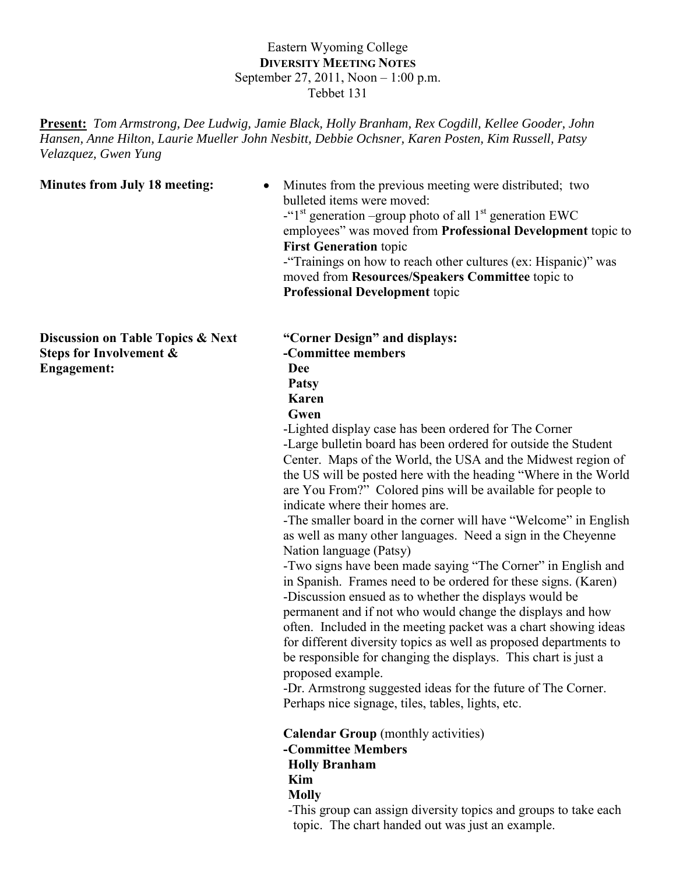# Eastern Wyoming College **DIVERSITY MEETING NOTES** September 27, 2011, Noon – 1:00 p.m. Tebbet 131

**Present:** *Tom Armstrong, Dee Ludwig, Jamie Black, Holly Branham, Rex Cogdill, Kellee Gooder, John Hansen, Anne Hilton, Laurie Mueller John Nesbitt, Debbie Ochsner, Karen Posten, Kim Russell, Patsy Velazquez, Gwen Yung*

| <b>Minutes from July 18 meeting:</b>                                               | Minutes from the previous meeting were distributed; two<br>$\bullet$<br>bulleted items were moved:<br>-" $1st$ generation –group photo of all $1st$ generation EWC<br>employees" was moved from Professional Development topic to<br><b>First Generation topic</b><br>-"Trainings on how to reach other cultures (ex: Hispanic)" was<br>moved from Resources/Speakers Committee topic to<br><b>Professional Development topic</b>                                                                                                                                                                                                                                                                                                                                                                                                                                                                                                                                                                                                                                                                                                                                                                                                                                                                                                                                                                                                                                                                |
|------------------------------------------------------------------------------------|--------------------------------------------------------------------------------------------------------------------------------------------------------------------------------------------------------------------------------------------------------------------------------------------------------------------------------------------------------------------------------------------------------------------------------------------------------------------------------------------------------------------------------------------------------------------------------------------------------------------------------------------------------------------------------------------------------------------------------------------------------------------------------------------------------------------------------------------------------------------------------------------------------------------------------------------------------------------------------------------------------------------------------------------------------------------------------------------------------------------------------------------------------------------------------------------------------------------------------------------------------------------------------------------------------------------------------------------------------------------------------------------------------------------------------------------------------------------------------------------------|
| Discussion on Table Topics & Next<br>Steps for Involvement &<br><b>Engagement:</b> | "Corner Design" and displays:<br>-Committee members<br><b>Dee</b><br><b>Patsy</b><br><b>Karen</b><br>Gwen<br>-Lighted display case has been ordered for The Corner<br>-Large bulletin board has been ordered for outside the Student<br>Center. Maps of the World, the USA and the Midwest region of<br>the US will be posted here with the heading "Where in the World"<br>are You From?" Colored pins will be available for people to<br>indicate where their homes are.<br>-The smaller board in the corner will have "Welcome" in English<br>as well as many other languages. Need a sign in the Cheyenne<br>Nation language (Patsy)<br>-Two signs have been made saying "The Corner" in English and<br>in Spanish. Frames need to be ordered for these signs. (Karen)<br>-Discussion ensued as to whether the displays would be<br>permanent and if not who would change the displays and how<br>often. Included in the meeting packet was a chart showing ideas<br>for different diversity topics as well as proposed departments to<br>be responsible for changing the displays. This chart is just a<br>proposed example.<br>-Dr. Armstrong suggested ideas for the future of The Corner.<br>Perhaps nice signage, tiles, tables, lights, etc.<br><b>Calendar Group</b> (monthly activities)<br>-Committee Members<br><b>Holly Branham</b><br>Kim<br><b>Molly</b><br>-This group can assign diversity topics and groups to take each<br>topic. The chart handed out was just an example. |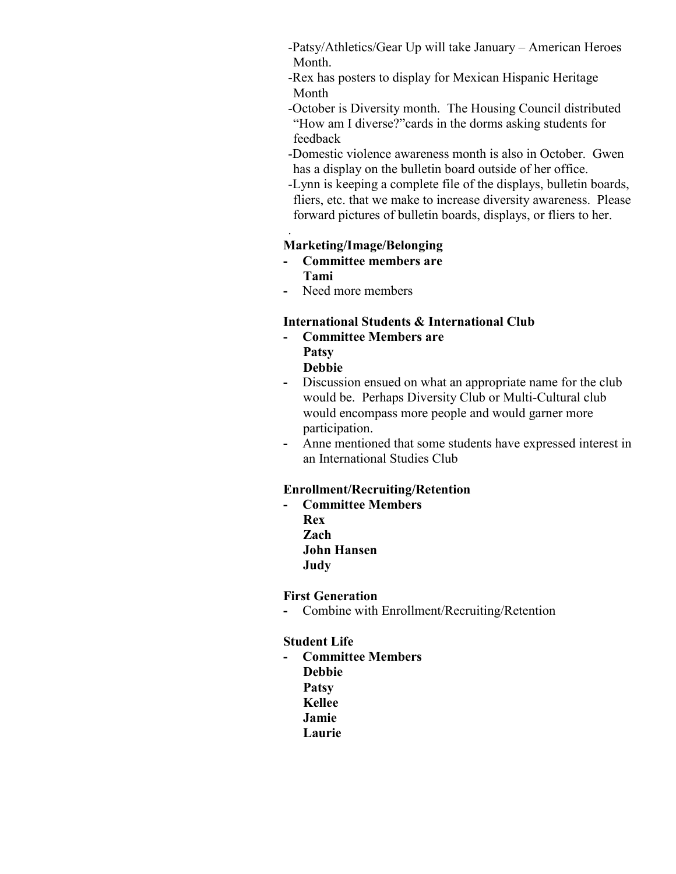- -Patsy/Athletics/Gear Up will take January American Heroes Month.
- -Rex has posters to display for Mexican Hispanic Heritage Month
- -October is Diversity month. The Housing Council distributed "How am I diverse?"cards in the dorms asking students for feedback
- -Domestic violence awareness month is also in October. Gwen has a display on the bulletin board outside of her office.
- -Lynn is keeping a complete file of the displays, bulletin boards, fliers, etc. that we make to increase diversity awareness. Please forward pictures of bulletin boards, displays, or fliers to her.

# **Marketing/Image/Belonging**

- **- Committee members are Tami**
- **-** Need more members

.

# **International Students & International Club**

- **- Committee Members are Patsy Debbie**
- **-** Discussion ensued on what an appropriate name for the club would be. Perhaps Diversity Club or Multi-Cultural club would encompass more people and would garner more participation.
- **-** Anne mentioned that some students have expressed interest in an International Studies Club

# **Enrollment/Recruiting/Retention**

**- Committee Members Rex Zach John Hansen Judy**

## **First Generation**

**-** Combine with Enrollment/Recruiting/Retention

## **Student Life**

**- Committee Members Debbie Patsy Kellee Jamie Laurie**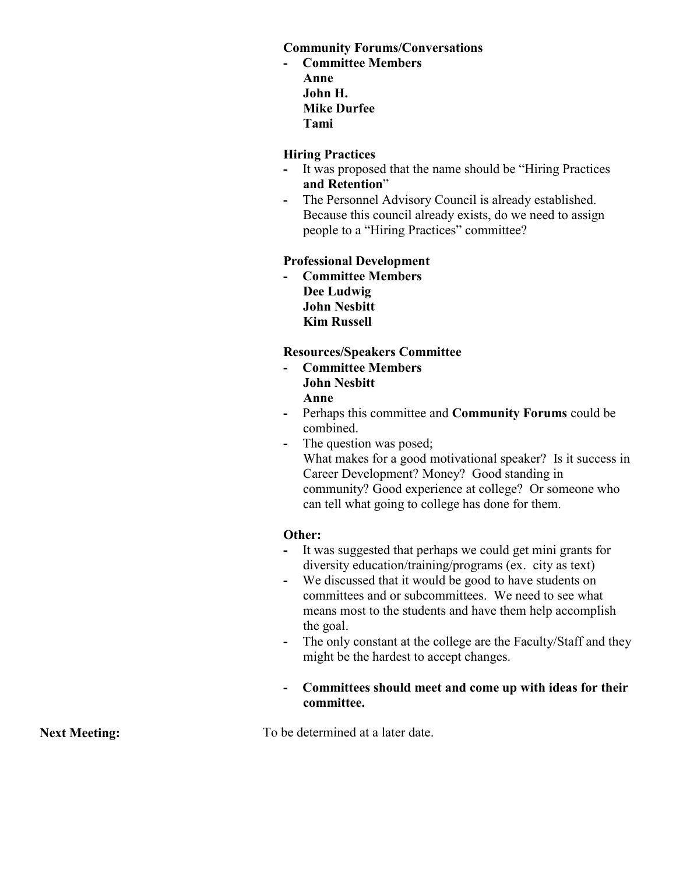# **Community Forums/Conversations**

**- Committee Members Anne John H. Mike Durfee Tami**

## **Hiring Practices**

- **-** It was proposed that the name should be "Hiring Practices **and Retention**"
- **-** The Personnel Advisory Council is already established. Because this council already exists, do we need to assign people to a "Hiring Practices" committee?

## **Professional Development**

**- Committee Members Dee Ludwig John Nesbitt Kim Russell**

## **Resources/Speakers Committee**

- **- Committee Members John Nesbitt Anne**
- **-** Perhaps this committee and **Community Forums** could be combined.
- **-** The question was posed; What makes for a good motivational speaker? Is it success in Career Development? Money? Good standing in community? Good experience at college? Or someone who can tell what going to college has done for them.

## **Other:**

- **-** It was suggested that perhaps we could get mini grants for diversity education/training/programs (ex. city as text)
- **-** We discussed that it would be good to have students on committees and or subcommittees. We need to see what means most to the students and have them help accomplish the goal.
- **-** The only constant at the college are the Faculty/Staff and they might be the hardest to accept changes.
- **- Committees should meet and come up with ideas for their committee.**

**Next Meeting:** To be determined at a later date.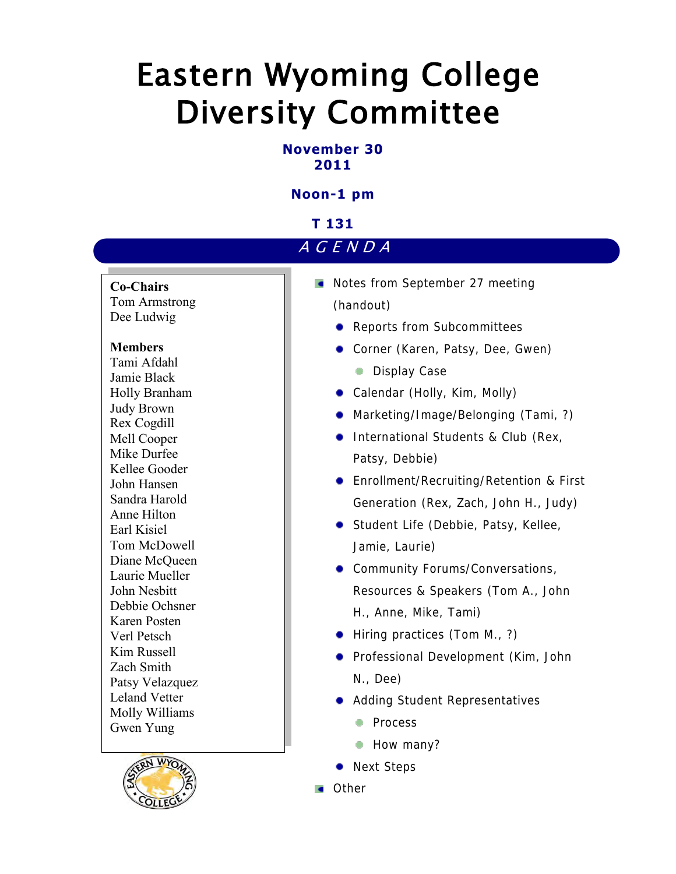# Eastern Wyoming College Diversity Committee

# **November 30 2011**

# **Noon-1 pm**

# **T 131**

# A G E N D A

**Co-Chairs**

Tom Armstrong Dee Ludwig

## **Members**

Tami Afdahl Jamie Black Holly Branham Judy Brown Rex Cogdill Mell Cooper Mike Durfee Kellee Gooder John Hansen Sandra Harold Anne Hilton Earl Kisiel Tom McDowell Diane McQueen Laurie Mueller John Nesbitt Debbie Ochsner Karen Posten Verl Petsch Kim Russell Zach Smith Patsy Velazquez Leland Vetter Molly Williams Gwen Yung



- Notes from September 27 meeting (handout)
	- **•** Reports from Subcommittees
	- Corner (Karen, Patsy, Dee, Gwen)
		- **Display Case**
	- Calendar (Holly, Kim, Molly)
	- Marketing/Image/Belonging (Tami, ?)
	- **International Students & Club (Rex,** Patsy, Debbie)
	- **•** Enrollment/Recruiting/Retention & First Generation (Rex, Zach, John H., Judy)
	- **Student Life (Debbie, Patsy, Kellee,** Jamie, Laurie)
	- **Community Forums/Conversations,** Resources & Speakers (Tom A., John H., Anne, Mike, Tami)
	- Hiring practices (Tom M., ?)
	- **•** Professional Development (Kim, John N., Dee)
	- Adding Student Representatives
		- **Process**
		- How many?
	- Next Steps
- **Comment**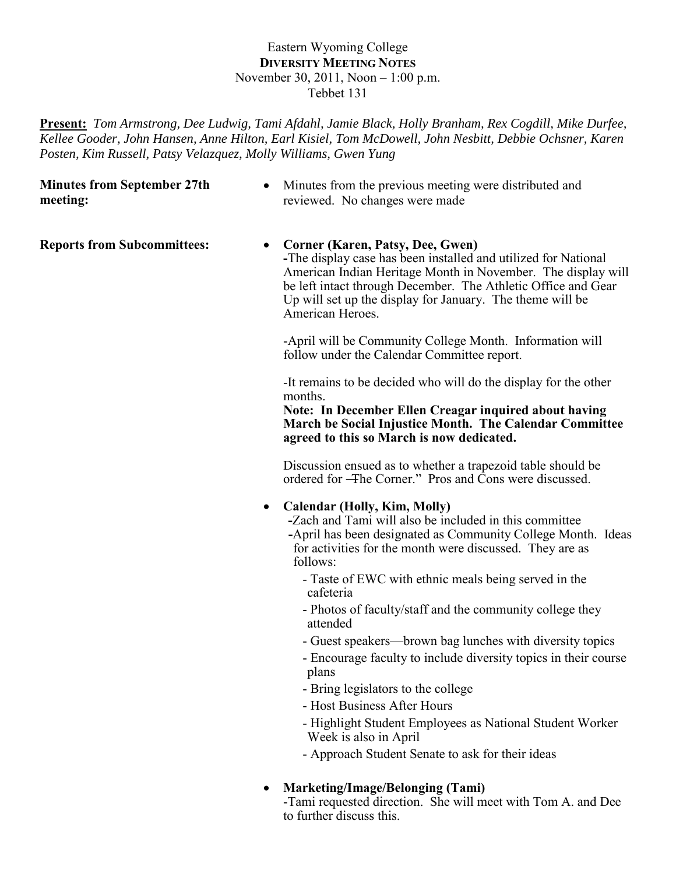# Eastern Wyoming College **DIVERSITY MEETING NOTES** November 30, 2011, Noon – 1:00 p.m. Tebbet 131

**Present:** *Tom Armstrong, Dee Ludwig, Tami Afdahl, Jamie Black, Holly Branham, Rex Cogdill, Mike Durfee, Kellee Gooder, John Hansen, Anne Hilton, Earl Kisiel, Tom McDowell, John Nesbitt, Debbie Ochsner, Karen Posten, Kim Russell, Patsy Velazquez, Molly Williams, Gwen Yung*

**Minutes from September 27th meeting:**

• Minutes from the previous meeting were distributed and reviewed. No changes were made

#### **Reports from Subcommittees:** • Corner (Karen, Patsy, Dee, Gwen)

**-**The display case has been installed and utilized for National American Indian Heritage Month in November. The display will be left intact through December. The Athletic Office and Gear Up will set up the display for January. The theme will be American Heroes.

-April will be Community College Month. Information will follow under the Calendar Committee report.

-It remains to be decided who will do the display for the other months.

**Note: In December Ellen Creagar inquired about having March be Social Injustice Month. The Calendar Committee agreed to this so March is now dedicated.**

Discussion ensued as to whether a trapezoid table should be ordered for —The Corner." Pros and Cons were discussed.

# **Calendar (Holly, Kim, Molly)**

**-**Zach and Tami will also be included in this committee **-**April has been designated as Community College Month. Ideas for activities for the month were discussed. They are as follows:

- Taste of EWC with ethnic meals being served in the cafeteria
- Photos of faculty/staff and the community college they attended
- Guest speakers—brown bag lunches with diversity topics
- Encourage faculty to include diversity topics in their course plans
- Bring legislators to the college
- Host Business After Hours
- Highlight Student Employees as National Student Worker Week is also in April
- Approach Student Senate to ask for their ideas
- **Marketing/Image/Belonging (Tami)**

-Tami requested direction. She will meet with Tom A. and Dee to further discuss this.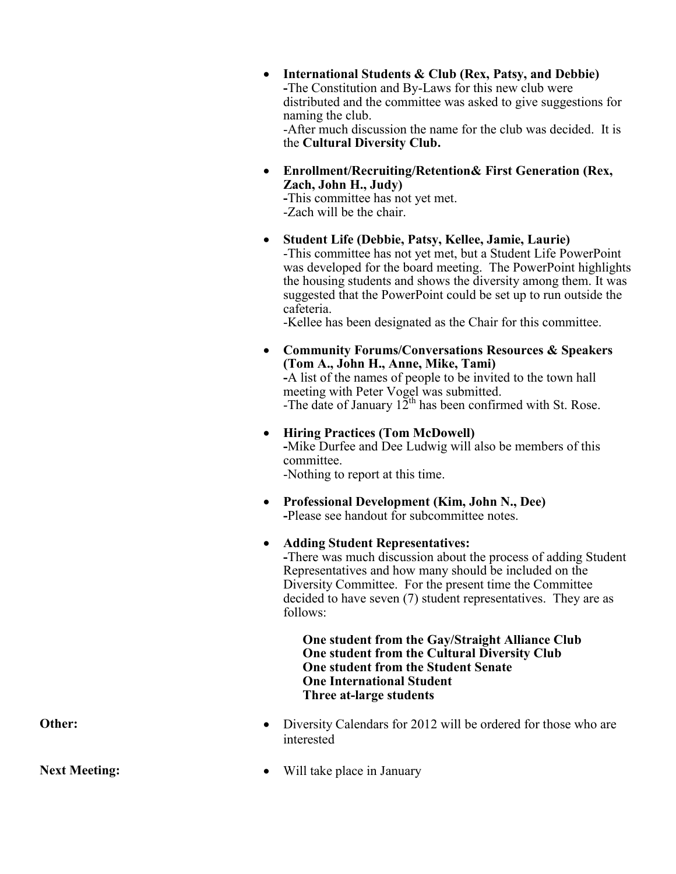| • International Students & Club (Rex, Patsy, and Debbie)        |
|-----------------------------------------------------------------|
| -The Constitution and By-Laws for this new club were            |
| distributed and the committee was asked to give suggestions for |
| naming the club.                                                |
| -After much discussion the name for the club was decided. It is |
| the Cultural Diversity Club.                                    |

 **Enrollment/Recruiting/Retention& First Generation (Rex, Zach, John H., Judy)**

**-**This committee has not yet met. -Zach will be the chair.

 **Student Life (Debbie, Patsy, Kellee, Jamie, Laurie)** -This committee has not yet met, but a Student Life PowerPoint was developed for the board meeting. The PowerPoint highlights the housing students and shows the diversity among them. It was suggested that the PowerPoint could be set up to run outside the cafeteria.

-Kellee has been designated as the Chair for this committee.

 **Community Forums/Conversations Resources & Speakers (Tom A., John H., Anne, Mike, Tami) -**A list of the names of people to be invited to the town hall meeting with Peter Vogel was submitted. -The date of January  $12^{th}$  has been confirmed with St. Rose.

- **Hiring Practices (Tom McDowell) -**Mike Durfee and Dee Ludwig will also be members of this committee. -Nothing to report at this time.
- **Professional Development (Kim, John N., Dee) -**Please see handout for subcommittee notes.
- **Adding Student Representatives: -**There was much discussion about the process of adding Student

Representatives and how many should be included on the Diversity Committee. For the present time the Committee decided to have seven (7) student representatives. They are as follows:

**One student from the Gay/Straight Alliance Club One student from the Cultural Diversity Club One student from the Student Senate One International Student Three at-large students**

- **Other:** Diversity Calendars for 2012 will be ordered for those who are interested
- **Next Meeting:**  $\bullet$  Will take place in January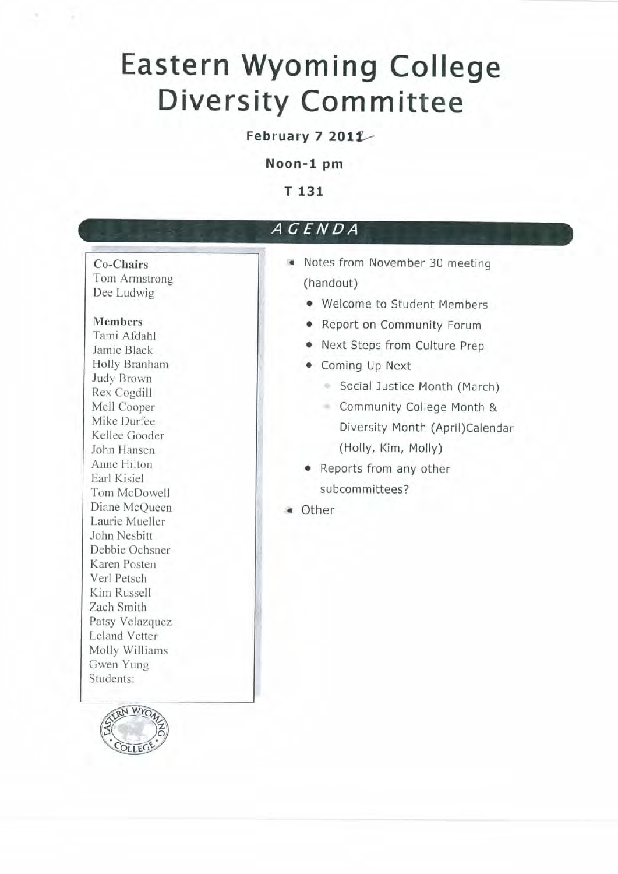# **Eastern Wyoming College Diversity Committee**

# February 7 2011

Noon-1 pm

T 131

# AGENDA

# Co-Chairs

Tom Armstrong Dee Ludwig

#### **Members**

Tami Afdahl Jamie Black Holly Branham Judy Brown Rex Cogdill Mell Cooper Mike Durfee Kellee Gooder John Hansen Anne Hilton Earl Kisiel Tom McDowell Diane McOueen Laurie Mueller John Nesbitt Debbie Ochsner Karen Posten Verl Petsch Kim Russell Zach Smith Patsy Velazquez Leland Vetter Molly Williams Gwen Yung Students:



- Notes from November 30 meeting (handout)
	- Welcome to Student Members
	- Report on Community Forum
	- Next Steps from Culture Prep
	- Coming Up Next
		- Social Justice Month (March)
		- Community College Month & Diversity Month (April)Calendar (Holly, Kim, Molly)
	- Reports from any other subcommittees?
- « Other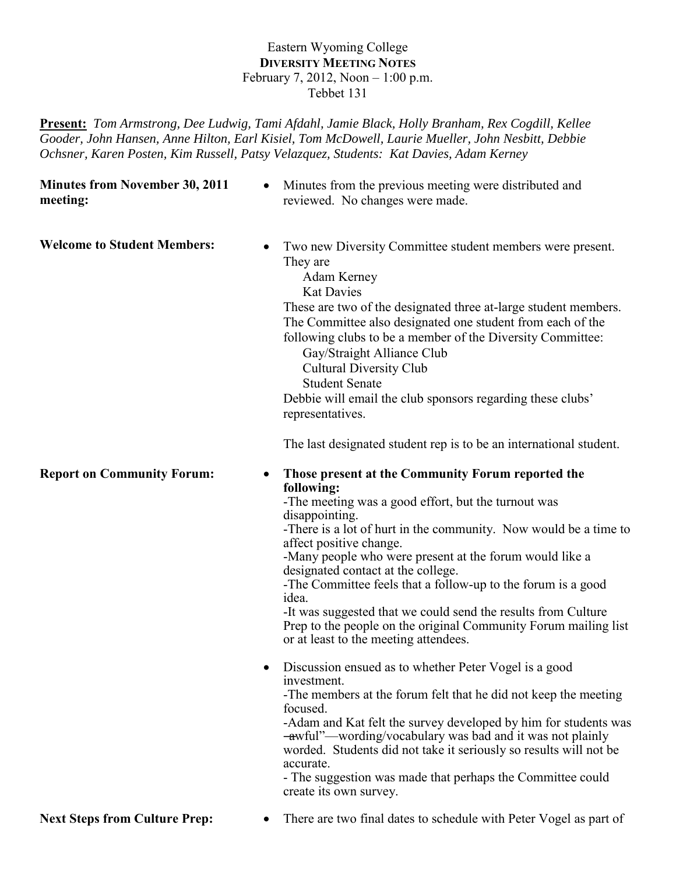## Eastern Wyoming College **DIVERSITY MEETING NOTES** February 7, 2012, Noon – 1:00 p.m. Tebbet 131

**Present:** *Tom Armstrong, Dee Ludwig, Tami Afdahl, Jamie Black, Holly Branham, Rex Cogdill, Kellee Gooder, John Hansen, Anne Hilton, Earl Kisiel, Tom McDowell, Laurie Mueller, John Nesbitt, Debbie Ochsner, Karen Posten, Kim Russell, Patsy Velazquez, Students: Kat Davies, Adam Kerney*

**Minutes from November 30, 2011 meeting:**

• Minutes from the previous meeting were distributed and reviewed. No changes were made.

Welcome to Student Members:  $\bullet$  Two new Diversity Committee student members were present. They are Adam Kerney

Kat Davies

These are two of the designated three at-large student members. The Committee also designated one student from each of the following clubs to be a member of the Diversity Committee:

Gay/Straight Alliance Club Cultural Diversity Club Student Senate Debbie will email the club sponsors regarding these clubs' representatives.

The last designated student rep is to be an international student.

## **Report on Community Forum:** • Those present at the Community Forum reported the **following:**

-The meeting was a good effort, but the turnout was disappointing.

-There is a lot of hurt in the community. Now would be a time to affect positive change.

-Many people who were present at the forum would like a designated contact at the college.

-The Committee feels that a follow-up to the forum is a good idea.

-It was suggested that we could send the results from Culture Prep to the people on the original Community Forum mailing list or at least to the meeting attendees.

• Discussion ensued as to whether Peter Vogel is a good investment.

-The members at the forum felt that he did not keep the meeting focused.

-Adam and Kat felt the survey developed by him for students was -awful"—wording/vocabulary was bad and it was not plainly worded. Students did not take it seriously so results will not be accurate.

- The suggestion was made that perhaps the Committee could create its own survey.

**Next Steps from Culture Prep:** • There are two final dates to schedule with Peter Vogel as part of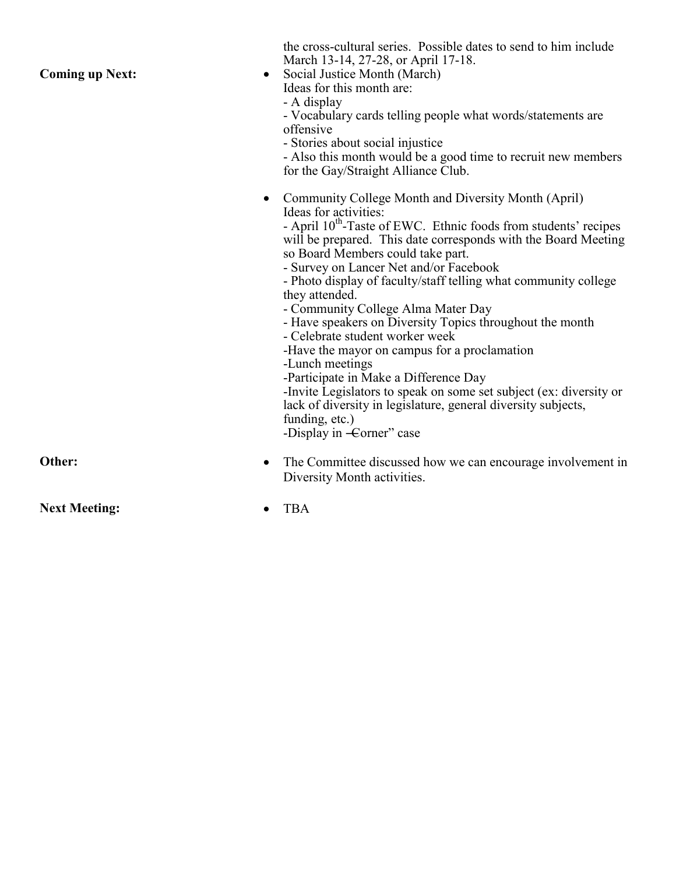the cross -cultural series. Possible dates to send to him include March 13-14, 27-28, or April 17-18. **Coming up Next:** • Social Justice Month (March) Ideas for this month are: - A display - Vocabulary cards telling people what words/statements are offensive - Stories about social injustice - Also this month would be a good time to recruit new members for the Gay/Straight Alliance Club. • Community College Month and Diversity Month (April) Ideas for activities: - April  $10^{th}$ -Taste of EWC. Ethnic foods from students' recipes will be prepared. This date corresponds with the Board Meeting so Board Members could take part. - Survey on Lancer Net and/or Facebook - Photo display of faculty/staff telling what community college they attended. - Community College Alma Mater Day - Have speakers on Diversity Topics throughout the month - Celebrate student worker week -Have the mayor on campus for a proclamation -Lunch meetings -Participate in Make a Difference Day -Invite Legislators to speak on some set subject (ex: diversity or lack of diversity in legislature, general diversity subjects, funding, etc.) -Display in -Corner" case **Other:** • The Committee discussed how we can encourage involvement in Diversity Month activities. **Next Meeting:**  $\bullet$  TBA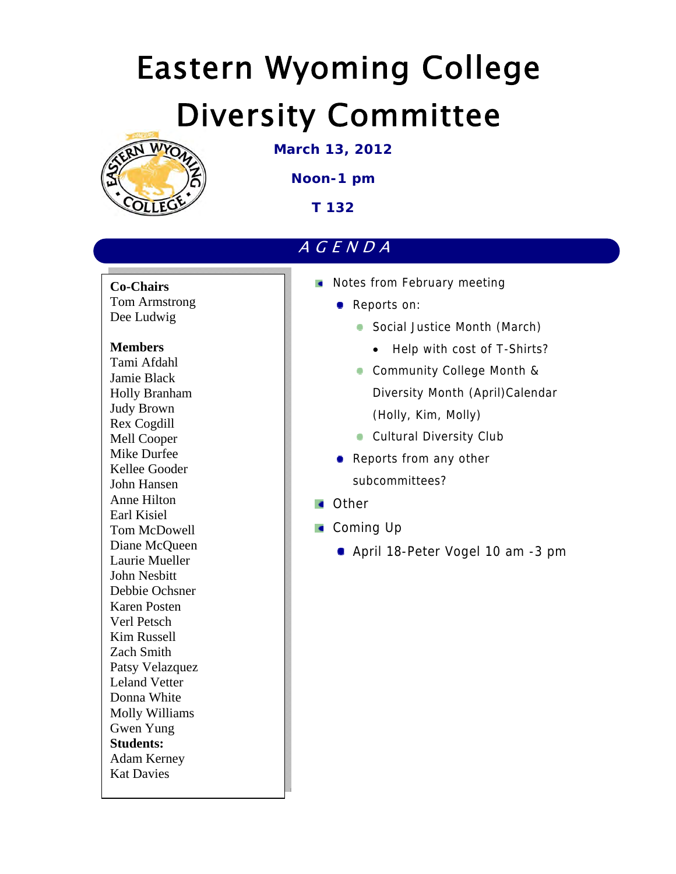# Eastern Wyoming College Diversity Committee



**March 13, 2012** 

**Noon-1 pm** 

**T 132** 

# AGENDA

**Co-Chairs**  Tom Armstrong Dee Ludwig

# **Members**

Tami Afdahl Jamie Black Holly Branham Judy Brown Rex Cogdill Mell Cooper Mike Durfee Kellee Gooder John Hansen Anne Hilton Earl Kisiel Tom McDowell Diane McQueen Laurie Mueller John Nesbitt Debbie Ochsner Karen Posten Verl Petsch Kim Russell Zach Smith Patsy Velazquez Leland Vetter Donna White Molly Williams Gwen Yung **Students:**  Adam Kerney Kat Davies

- Notes from February meeting
	- **Reports on:** 
		- Social Justice Month (March)
			- Help with cost of T-Shirts?
		- **Community College Month &** Diversity Month (April)Calendar (Holly, Kim, Molly)
		- **Cultural Diversity Club**
	- Reports from any other subcommittees?
- **Other**
- **Coming Up** 
	- April 18-Peter Vogel 10 am -3 pm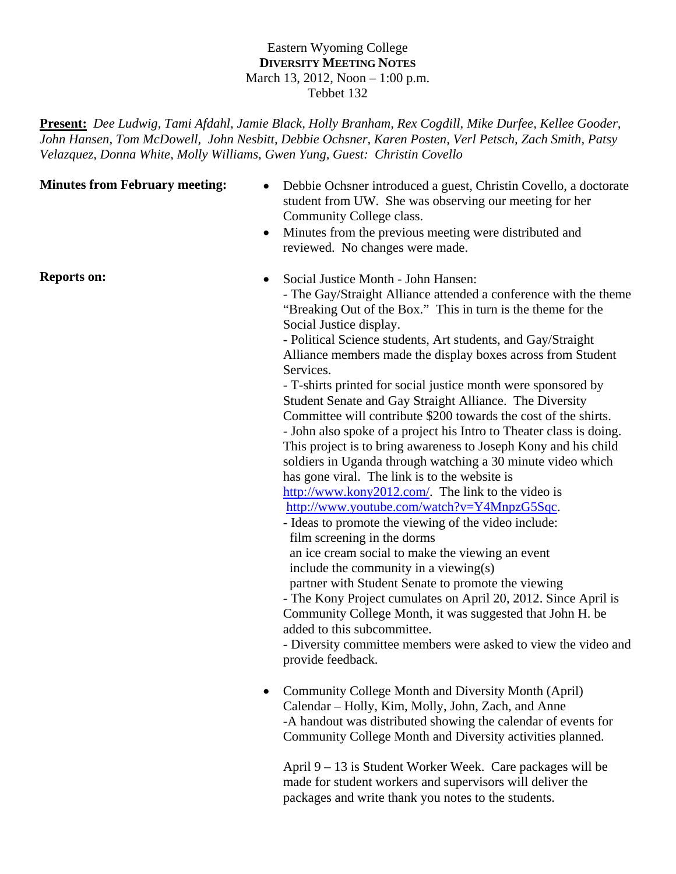# Eastern Wyoming College **DIVERSITY MEETING NOTES** March 13, 2012, Noon – 1:00 p.m. Tebbet 132

**Present:** *Dee Ludwig, Tami Afdahl, Jamie Black, Holly Branham, Rex Cogdill, Mike Durfee, Kellee Gooder, John Hansen, Tom McDowell, John Nesbitt, Debbie Ochsner, Karen Posten, Verl Petsch, Zach Smith, Patsy Velazquez, Donna White, Molly Williams, Gwen Yung, Guest: Christin Covello* 

- **Minutes from February meeting:** Debbie Ochsner introduced a guest, Christin Covello, a doctorate student from UW. She was observing our meeting for her Community College class.
	- Minutes from the previous meeting were distributed and reviewed. No changes were made.

**Reports on:**  $\bullet$  Social Justice Month - John Hansen:

- The Gay/Straight Alliance attended a conference with the theme "Breaking Out of the Box." This in turn is the theme for the Social Justice display.

- Political Science students, Art students, and Gay/Straight Alliance members made the display boxes across from Student Services.

- T-shirts printed for social justice month were sponsored by Student Senate and Gay Straight Alliance. The Diversity Committee will contribute \$200 towards the cost of the shirts. - John also spoke of a project his Intro to Theater class is doing. This project is to bring awareness to Joseph Kony and his child soldiers in Uganda through watching a 30 minute video which has gone viral. The link is to the website is http://www.kony2012.com/. The link to the video is http://www.youtube.com/watch?v=Y4MnpzG5Sqc.

- 
- Ideas to promote the viewing of the video include: film screening in the dorms an ice cream social to make the viewing an event include the community in a viewing(s) partner with Student Senate to promote the viewing

- The Kony Project cumulates on April 20, 2012. Since April is Community College Month, it was suggested that John H. be added to this subcommittee.

- Diversity committee members were asked to view the video and provide feedback.

• Community College Month and Diversity Month (April) Calendar – Holly, Kim, Molly, John, Zach, and Anne -A handout was distributed showing the calendar of events for Community College Month and Diversity activities planned.

April 9 – 13 is Student Worker Week. Care packages will be made for student workers and supervisors will deliver the packages and write thank you notes to the students.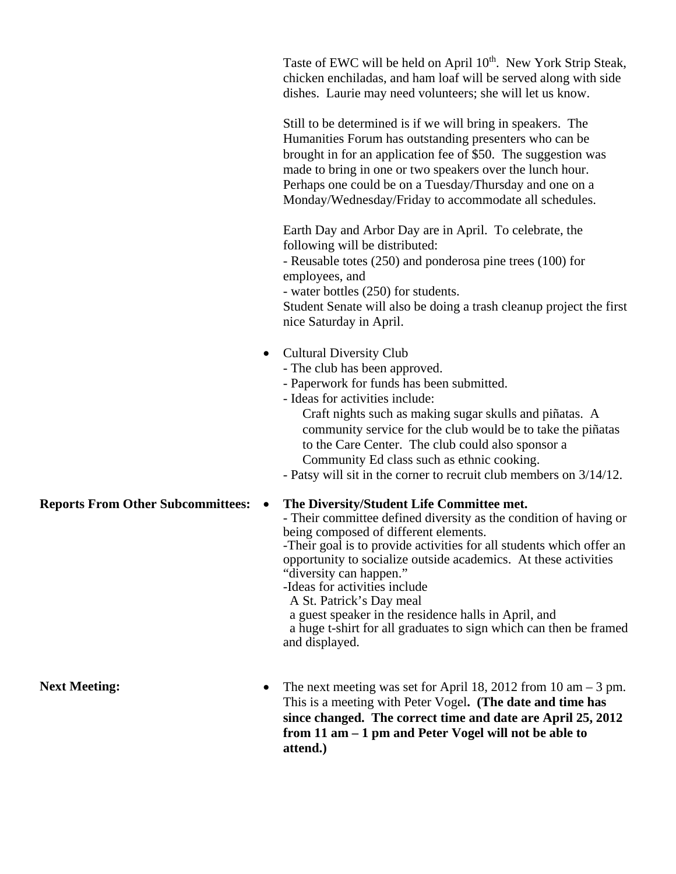| Taste of EWC will be held on April 10 <sup>th</sup> . New York Strip Steak, |
|-----------------------------------------------------------------------------|
| chicken enchiladas, and ham loaf will be served along with side             |
| dishes. Laurie may need volunteers; she will let us know.                   |

Still to be determined is if we will bring in speakers. The Humanities Forum has outstanding presenters who can be brought in for an application fee of \$50. The suggestion was made to bring in one or two speakers over the lunch hour. Perhaps one could be on a Tuesday/Thursday and one on a Monday/Wednesday/Friday to accommodate all schedules.

Earth Day and Arbor Day are in April. To celebrate, the following will be distributed:

- Reusable totes (250) and ponderosa pine trees (100) for employees, and

- water bottles (250) for students.

Student Senate will also be doing a trash cleanup project the first nice Saturday in April.

- Cultural Diversity Club
	- The club has been approved.
	- Paperwork for funds has been submitted.
	- Ideas for activities include:

Craft nights such as making sugar skulls and piñatas. A community service for the club would be to take the piñatas to the Care Center. The club could also sponsor a Community Ed class such as ethnic cooking.

- Patsy will sit in the corner to recruit club members on 3/14/12.

## **Reports From Other Subcommittees: The Diversity/Student Life Committee met.**

- Their committee defined diversity as the condition of having or being composed of different elements.

-Their goal is to provide activities for all students which offer an opportunity to socialize outside academics. At these activities "diversity can happen."

-Ideas for activities include

A St. Patrick's Day meal

a guest speaker in the residence halls in April, and

 a huge t-shirt for all graduates to sign which can then be framed and displayed.

Next Meeting: The next meeting was set for April 18, 2012 from 10 am – 3 pm. This is a meeting with Peter Vogel**. (The date and time has since changed. The correct time and date are April 25, 2012 from 11 am – 1 pm and Peter Vogel will not be able to attend.)**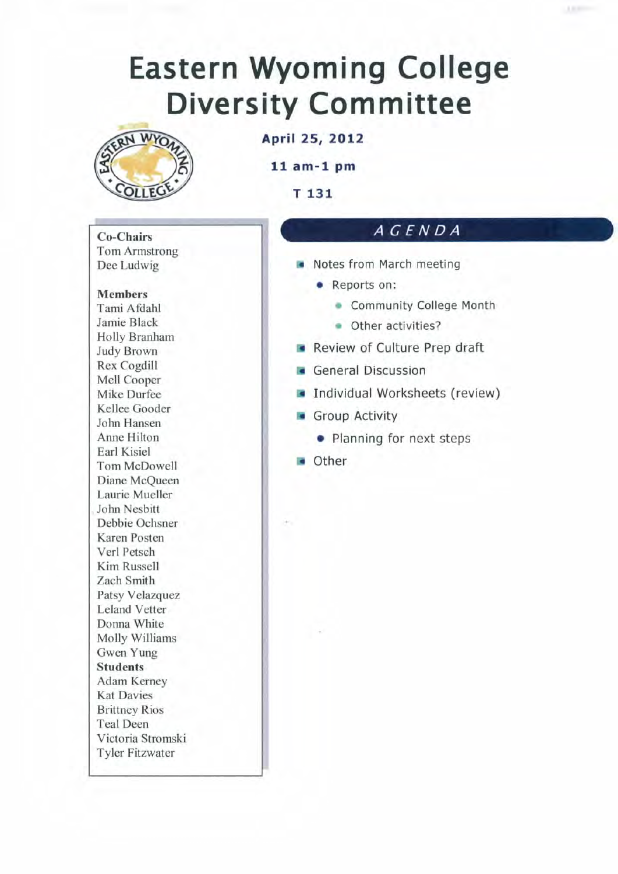# **Eastern Wyoming College Diversity Committee**



April 25, 2012

 $11$  am-1 pm

T 131

#### **Co-Chairs Tom Armstrong** Dee Ludwig

# **Members** Tami Afdahl Jamie Black Holly Branham **Judy Brown Rex Cogdill** Mell Cooper Mike Durfee Kellee Gooder John Hansen Anne Hilton Earl Kisiel Tom McDowell Diane McQueen Laurie Mueller John Nesbitt Debbie Ochsner Karen Posten Verl Petsch Kim Russell Zach Smith Patsy Velazquez **Leland Vetter** Donna White Molly Williams Gwen Yung **Students** Adam Kerney **Kat Davies Brittney Rios Teal Deen** Victoria Stromski **Tyler Fitzwater**

# AGENDA

- Notes from March meeting
	- Reports on:
		- Community College Month
		- Other activities?
- Review of Culture Prep draft
- **General Discussion**
- Individual Worksheets (review)
- Group Activity
	- Planning for next steps
- **o** Other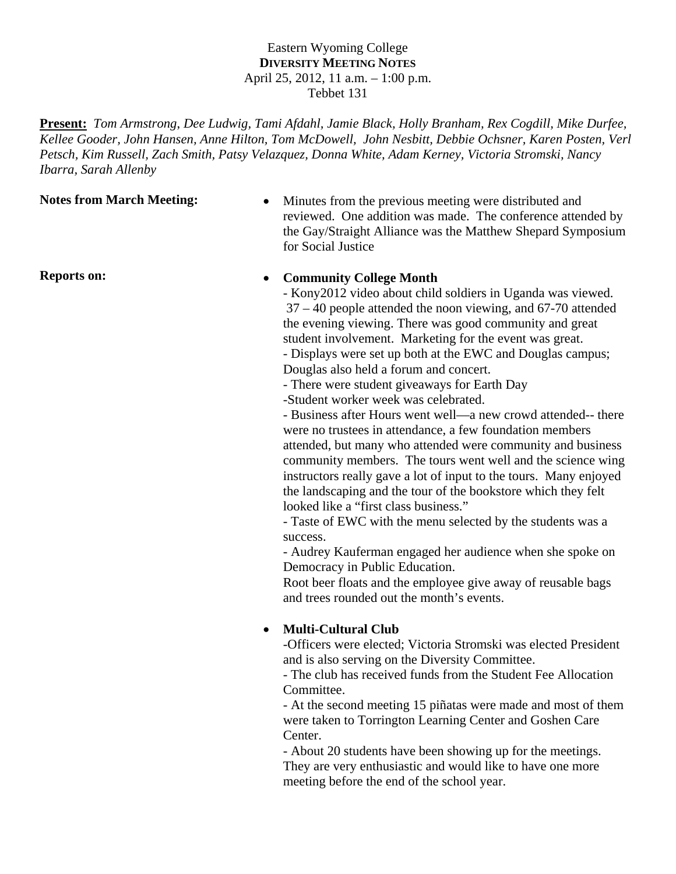## Eastern Wyoming College **DIVERSITY MEETING NOTES** April 25, 2012, 11 a.m. – 1:00 p.m. Tebbet 131

**Present:** *Tom Armstrong*, *Dee Ludwig, Tami Afdahl, Jamie Black, Holly Branham, Rex Cogdill, Mike Durfee, Kellee Gooder, John Hansen, Anne Hilton, Tom McDowell, John Nesbitt, Debbie Ochsner, Karen Posten, Verl Petsch, Kim Russell, Zach Smith, Patsy Velazquez, Donna White, Adam Kerney, Victoria Stromski, Nancy Ibarra, Sarah Allenby* 

**Notes from March Meeting:** • Minutes from the previous meeting were distributed and reviewed. One addition was made. The conference attended by the Gay/Straight Alliance was the Matthew Shepard Symposium for Social Justice

# **Reports on:** <br> **•** Community College Month

- Kony2012 video about child soldiers in Uganda was viewed. 37 – 40 people attended the noon viewing, and 67-70 attended the evening viewing. There was good community and great student involvement. Marketing for the event was great.

- Displays were set up both at the EWC and Douglas campus; Douglas also held a forum and concert.

- There were student giveaways for Earth Day

-Student worker week was celebrated.

- Business after Hours went well—a new crowd attended-- there were no trustees in attendance, a few foundation members attended, but many who attended were community and business community members. The tours went well and the science wing instructors really gave a lot of input to the tours. Many enjoyed the landscaping and the tour of the bookstore which they felt looked like a "first class business."

- Taste of EWC with the menu selected by the students was a success.

- Audrey Kauferman engaged her audience when she spoke on Democracy in Public Education.

Root beer floats and the employee give away of reusable bags and trees rounded out the month's events.

# **Multi-Cultural Club**

-Officers were elected; Victoria Stromski was elected President and is also serving on the Diversity Committee.

- The club has received funds from the Student Fee Allocation Committee.

- At the second meeting 15 piñatas were made and most of them were taken to Torrington Learning Center and Goshen Care Center.

- About 20 students have been showing up for the meetings. They are very enthusiastic and would like to have one more meeting before the end of the school year.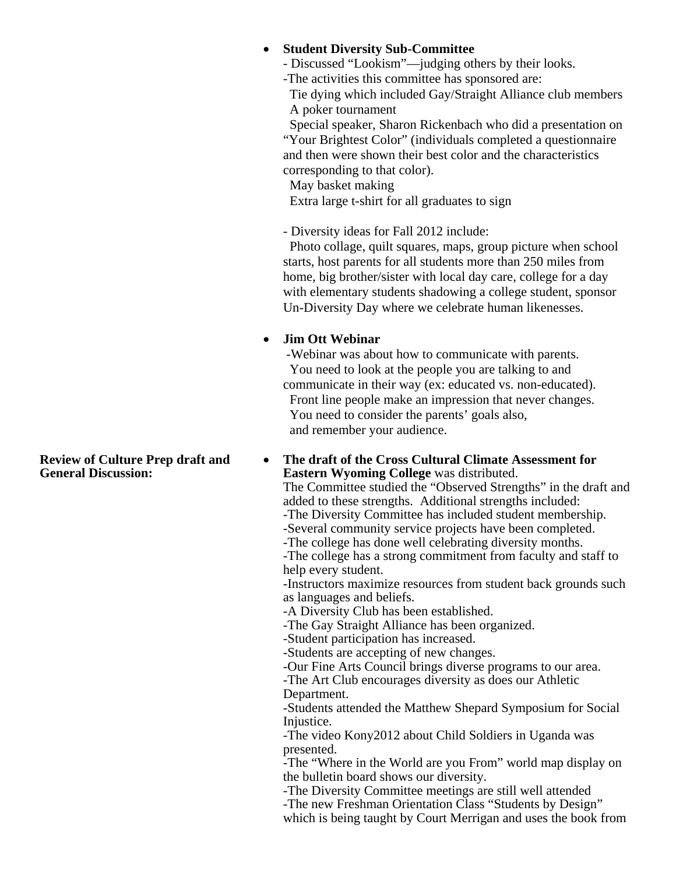# **Student Diversity Sub-Committee**

- Discussed "Lookism"—judging others by their looks.

-The activities this committee has sponsored are:

 Tie dying which included Gay/Straight Alliance club members A poker tournament

 Special speaker, Sharon Rickenbach who did a presentation on "Your Brightest Color" (individuals completed a questionnaire and then were shown their best color and the characteristics corresponding to that color).

May basket making

Extra large t-shirt for all graduates to sign

- Diversity ideas for Fall 2012 include:

 Photo collage, quilt squares, maps, group picture when school starts, host parents for all students more than 250 miles from home, big brother/sister with local day care, college for a day with elementary students shadowing a college student, sponsor Un-Diversity Day where we celebrate human likenesses.

# **Jim Ott Webinar**

 -Webinar was about how to communicate with parents. You need to look at the people you are talking to and communicate in their way (ex: educated vs. non-educated). Front line people make an impression that never changes. You need to consider the parents' goals also, and remember your audience.

**The draft of the Cross Cultural Climate Assessment for** 

**Eastern Wyoming College** was distributed. The Committee studied the "Observed Strengths" in the draft and added to these strengths. Additional strengths included:

-The Diversity Committee has included student membership.

-Several community service projects have been completed.

-The college has done well celebrating diversity months.

-The college has a strong commitment from faculty and staff to help every student.

-Instructors maximize resources from student back grounds such as languages and beliefs.

-A Diversity Club has been established.

-The Gay Straight Alliance has been organized.

-Student participation has increased.

-Students are accepting of new changes.

-Our Fine Arts Council brings diverse programs to our area.

-The Art Club encourages diversity as does our Athletic Department.

-Students attended the Matthew Shepard Symposium for Social Injustice.

-The video Kony2012 about Child Soldiers in Uganda was presented.

-The "Where in the World are you From" world map display on the bulletin board shows our diversity.

-The Diversity Committee meetings are still well attended

-The new Freshman Orientation Class "Students by Design"

which is being taught by Court Merrigan and uses the book from

**Review of Culture Prep draft and General Discussion:**